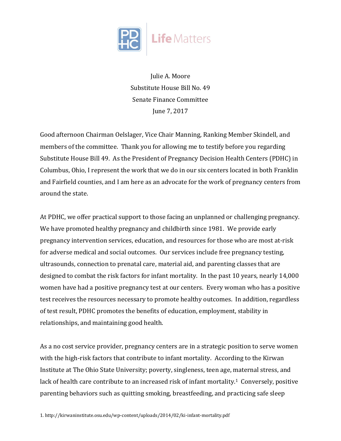

Julie A. Moore Substitute House Bill No. 49 Senate Finance Committee June 7, 2017

Good afternoon Chairman Oelslager, Vice Chair Manning, Ranking Member Skindell, and members of the committee. Thank you for allowing me to testify before you regarding Substitute House Bill 49. As the President of Pregnancy Decision Health Centers (PDHC) in Columbus, Ohio, I represent the work that we do in our six centers located in both Franklin and Fairfield counties, and I am here as an advocate for the work of pregnancy centers from around the state.

At PDHC, we offer practical support to those facing an unplanned or challenging pregnancy. We have promoted healthy pregnancy and childbirth since 1981. We provide early pregnancy intervention services, education, and resources for those who are most at-risk for adverse medical and social outcomes. Our services include free pregnancy testing, ultrasounds, connection to prenatal care, material aid, and parenting classes that are designed to combat the risk factors for infant mortality. In the past 10 years, nearly 14,000 women have had a positive pregnancy test at our centers. Every woman who has a positive test receives the resources necessary to promote healthy outcomes. In addition, regardless of test result, PDHC promotes the benefits of education, employment, stability in relationships, and maintaining good health.

As a no cost service provider, pregnancy centers are in a strategic position to serve women with the high-risk factors that contribute to infant mortality. According to the Kirwan Institute at The Ohio State University; poverty, singleness, teen age, maternal stress, and lack of health care contribute to an increased risk of infant mortality. <sup>1</sup> Conversely, positive parenting behaviors such as quitting smoking, breastfeeding, and practicing safe sleep